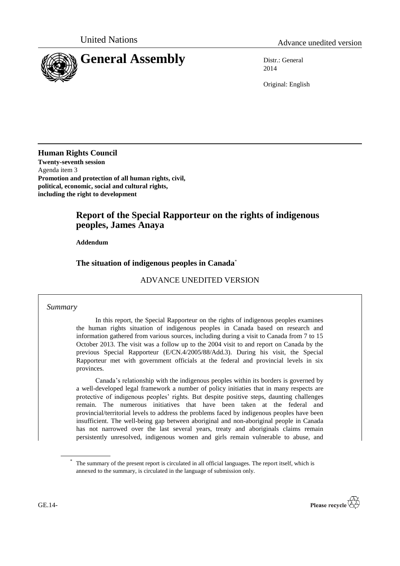



2014

Original: English

**Human Rights Council Twenty-seventh session** Agenda item 3 **Promotion and protection of all human rights, civil, political, economic, social and cultural rights, including the right to development**

# **Report of the Special Rapporteur on the rights of indigenous peoples, James Anaya**

## **Addendum**

## **The situation of indigenous peoples in Canada**\*

## ADVANCE UNEDITED VERSION

### *Summary*

In this report, the Special Rapporteur on the rights of indigenous peoples examines the human rights situation of indigenous peoples in Canada based on research and information gathered from various sources, including during a visit to Canada from 7 to 15 October 2013. The visit was a follow up to the 2004 visit to and report on Canada by the previous Special Rapporteur (E/CN.4/2005/88/Add.3). During his visit, the Special Rapporteur met with government officials at the federal and provincial levels in six provinces.

Canada's relationship with the indigenous peoples within its borders is governed by a well-developed legal framework a number of policy initiaties that in many respects are protective of indigenous peoples' rights. But despite positive steps, daunting challenges remain. The numerous initiatives that have been taken at the federal and provincial/territorial levels to address the problems faced by indigenous peoples have been insufficient. The well-being gap between aboriginal and non-aboriginal people in Canada has not narrowed over the last several years, treaty and aboriginals claims remain persistently unresolved, indigenous women and girls remain vulnerable to abuse, and

<sup>\*</sup> The summary of the present report is circulated in all official languages. The report itself, which is annexed to the summary, is circulated in the language of submission only.

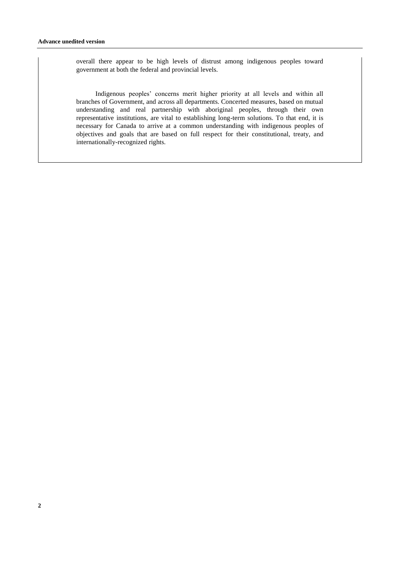overall there appear to be high levels of distrust among indigenous peoples toward government at both the federal and provincial levels.

Indigenous peoples' concerns merit higher priority at all levels and within all branches of Government, and across all departments. Concerted measures, based on mutual understanding and real partnership with aboriginal peoples, through their own representative institutions, are vital to establishing long-term solutions. To that end, it is necessary for Canada to arrive at a common understanding with indigenous peoples of objectives and goals that are based on full respect for their constitutional, treaty, and internationally-recognized rights.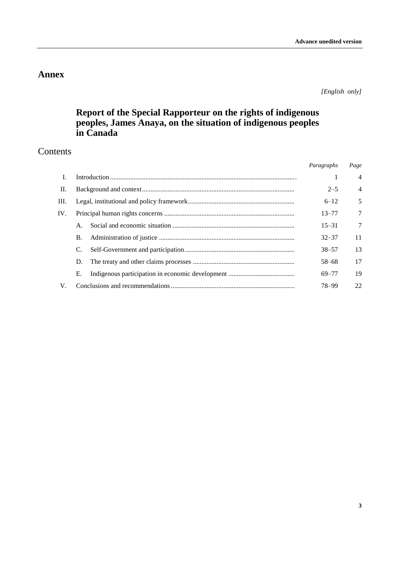# **Annex**

*[English only]*

# **Report of the Special Rapporteur on the rights of indigenous peoples, James Anaya, on the situation of indigenous peoples in Canada**

# Contents

|             |           | Paragraphs | Page                      |
|-------------|-----------|------------|---------------------------|
| <b>I</b> .  |           |            | $\overline{4}$<br>-       |
| П.          |           |            | $\overline{4}$<br>$2 - 5$ |
| Ш.          |           |            | 5<br>$6 - 12$             |
| IV.         |           | $13 - 77$  | $\overline{7}$            |
|             |           | $15 - 31$  | $\overline{7}$            |
|             | <b>B.</b> | $32 - 37$  | 11                        |
|             | C.        | $38 - 57$  | 13                        |
|             | D.        | $58 - 68$  | 17                        |
|             | Е.        | 69-77      | 19                        |
| $V_{\cdot}$ |           | 78-99      | 22                        |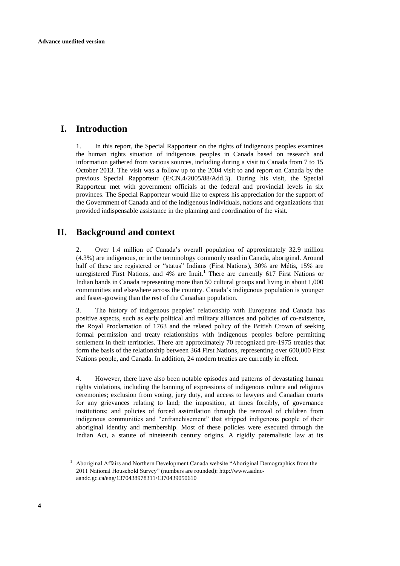## **I. Introduction**

1. In this report, the Special Rapporteur on the rights of indigenous peoples examines the human rights situation of indigenous peoples in Canada based on research and information gathered from various sources, including during a visit to Canada from 7 to 15 October 2013. The visit was a follow up to the 2004 visit to and report on Canada by the previous Special Rapporteur (E/CN.4/2005/88/Add.3). During his visit, the Special Rapporteur met with government officials at the federal and provincial levels in six provinces. The Special Rapporteur would like to express his appreciation for the support of the Government of Canada and of the indigenous individuals, nations and organizations that provided indispensable assistance in the planning and coordination of the visit.

## **II. Background and context**

2. Over 1.4 million of Canada's overall population of approximately 32.9 million (4.3%) are indigenous, or in the terminology commonly used in Canada, aboriginal. Around half of these are registered or "status" Indians (First Nations), 30% are Métis, 15% are unregistered First Nations, and  $4\%$  are Inuit.<sup>1</sup> There are currently  $617$  First Nations or Indian bands in Canada representing more than 50 cultural groups and living in about 1,000 communities and elsewhere across the country. Canada's indigenous population is younger and faster-growing than the rest of the Canadian population.

3. The history of indigenous peoples' relationship with Europeans and Canada has positive aspects, such as early political and military alliances and policies of co-existence, the Royal Proclamation of 1763 and the related policy of the British Crown of seeking formal permission and treaty relationships with indigenous peoples before permitting settlement in their territories. There are approximately 70 recognized pre-1975 treaties that form the basis of the relationship between 364 First Nations, representing over 600,000 First Nations people, and Canada. In addition, 24 modern treaties are currently in effect.

4. However, there have also been notable episodes and patterns of devastating human rights violations, including the banning of expressions of indigenous culture and religious ceremonies; exclusion from voting, jury duty, and access to lawyers and Canadian courts for any grievances relating to land; the imposition, at times forcibly, of governance institutions; and policies of forced assimilation through the removal of children from indigenous communities and "enfranchisement" that stripped indigenous people of their aboriginal identity and membership. Most of these policies were executed through the Indian Act, a statute of nineteenth century origins. A rigidly paternalistic law at its

<sup>1</sup> Aboriginal Affairs and Northern Development Canada website "Aboriginal Demographics from the 2011 National Household Survey" (numbers are rounded): http://www.aadncaandc.gc.ca/eng/1370438978311/1370439050610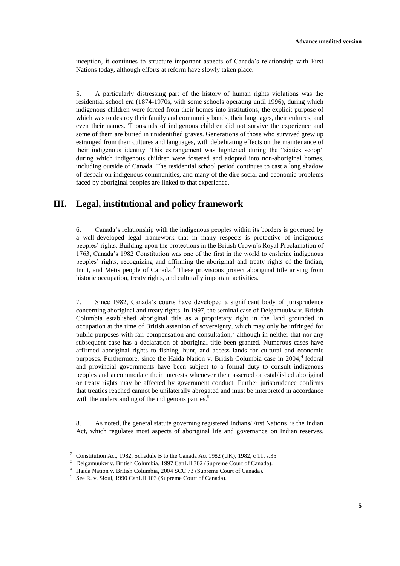inception, it continues to structure important aspects of Canada's relationship with First Nations today, although efforts at reform have slowly taken place.

5. A particularly distressing part of the history of human rights violations was the residential school era (1874-1970s, with some schools operating until 1996), during which indigenous children were forced from their homes into institutions, the explicit purpose of which was to destroy their family and community bonds, their languages, their cultures, and even their names. Thousands of indigenous children did not survive the experience and some of them are buried in unidentified graves. Generations of those who survived grew up estranged from their cultures and languages, with debelitating effects on the maintenance of their indigenous identity. This estrangement was hightened during the "sixties scoop" during which indigenous children were fostered and adopted into non-aboriginal homes, including outside of Canada. The residential school period continues to cast a long shadow of despair on indigenous communities, and many of the dire social and economic problems faced by aboriginal peoples are linked to that experience.

## **III. Legal, institutional and policy framework**

6. Canada's relationship with the indigenous peoples within its borders is governed by a well-developed legal framework that in many respects is protective of indigenous peoples' rights. Building upon the protections in the British Crown's Royal Proclamation of 1763, Canada's 1982 Constitution was one of the first in the world to enshrine indigenous peoples' rights, recognizing and affirming the aboriginal and treaty rights of the Indian, Inuit, and Métis people of Canada.<sup>2</sup> These provisions protect aboriginal title arising from historic occupation, treaty rights, and culturally important activities.

7. Since 1982, Canada's courts have developed a significant body of jurisprudence concerning aboriginal and treaty rights. In 1997, the seminal case of Delgamuukw v. British Columbia established aboriginal title as a proprietary right in the land grounded in occupation at the time of British assertion of sovereignty, which may only be infringed for public purposes with fair compensation and consultation,<sup>3</sup> although in neither that nor any subsequent case has a declaration of aboriginal title been granted. Numerous cases have affirmed aboriginal rights to fishing, hunt, and access lands for cultural and economic purposes. Furthermore, since the Haida Nation v. British Columbia case in 2004,<sup>4</sup> federal and provincial governments have been subject to a formal duty to consult indigenous peoples and accommodate their interests whenever their asserted or established aboriginal or treaty rights may be affected by government conduct. Further jurisprudence confirms that treaties reached cannot be unilaterally abrogated and must be interpreted in accordance with the understanding of the indigenous parties.<sup>5</sup>

8. As noted, the general statute governing registered Indians/First Nations is the Indian Act, which regulates most aspects of aboriginal life and governance on Indian reserves.

<sup>&</sup>lt;sup>2</sup> Constitution Act, 1982, Schedule B to the Canada Act 1982 (UK), 1982, c 11, s.35.

<sup>3</sup> Delgamuukw v. British Columbia, 1997 CanLII 302 (Supreme Court of Canada).

<sup>4</sup> Haida Nation v. British Columbia, 2004 SCC 73 (Supreme Court of Canada).

<sup>&</sup>lt;sup>5</sup> See R. v. Sioui, 1990 CanLII 103 (Supreme Court of Canada).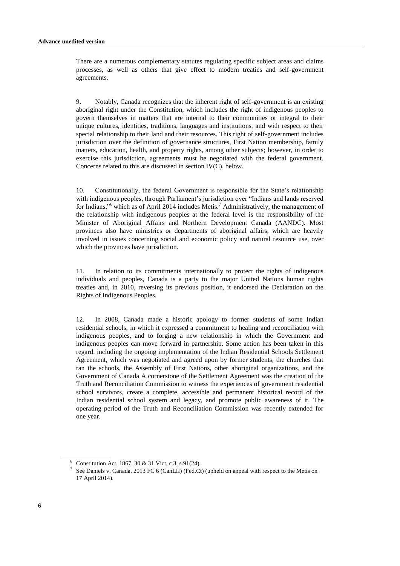There are a numerous complementary statutes regulating specific subject areas and claims processes, as well as others that give effect to modern treaties and self-government agreements.

9. Notably, Canada recognizes that the inherent right of self-government is an existing aboriginal right under the Constitution, which includes the right of indigenous peoples to govern themselves in matters that are internal to their communities or integral to their unique cultures, identities, traditions, languages and institutions, and with respect to their special relationship to their land and their resources. This right of self-government includes jurisdiction over the definition of governance structures, First Nation membership, family matters, education, health, and property rights, among other subjects; however, in order to exercise this jurisdiction, agreements must be negotiated with the federal government. Concerns related to this are discussed in section IV(C), below.

10. Constitutionally, the federal Government is responsible for the State's relationship with indigenous peoples, through Parliament's jurisdiction over "Indians and lands reserved for Indians,"<sup>6</sup> which as of April 2014 includes Metis.<sup>7</sup> Administratively, the management of the relationship with indigenous peoples at the federal level is the responsibility of the Minister of Aboriginal Affairs and Northern Development Canada (AANDC). Most provinces also have ministries or departments of aboriginal affairs, which are heavily involved in issues concerning social and economic policy and natural resource use, over which the provinces have jurisdiction.

11. In relation to its commitments internationally to protect the rights of indigenous individuals and peoples, Canada is a party to the major United Nations human rights treaties and, in 2010, reversing its previous position, it endorsed the Declaration on the Rights of Indigenous Peoples.

12. In 2008, Canada made a historic apology to former students of some Indian residential schools, in which it expressed a commitment to healing and reconciliation with indigenous peoples, and to forging a new relationship in which the Government and indigenous peoples can move forward in partnership. Some action has been taken in this regard, including the ongoing implementation of the Indian Residential Schools Settlement Agreement, which was negotiated and agreed upon by former students, the churches that ran the schools, the Assembly of First Nations, other aboriginal organizations, and the Government of Canada A cornerstone of the Settlement Agreement was the creation of the Truth and Reconciliation Commission to witness the experiences of government residential school survivors, create a complete, accessible and permanent historical record of the Indian residential school system and legacy, and promote public awareness of it. The operating period of the Truth and Reconciliation Commission was recently extended for one year.

 $6$  Constitution Act, 1867, 30 & 31 Vict, c 3, s.91(24).

<sup>&</sup>lt;sup>7</sup> See Daniels v. Canada, 2013 FC 6 (CanLII) (Fed.Ct) (upheld on appeal with respect to the Métis on 17 April 2014).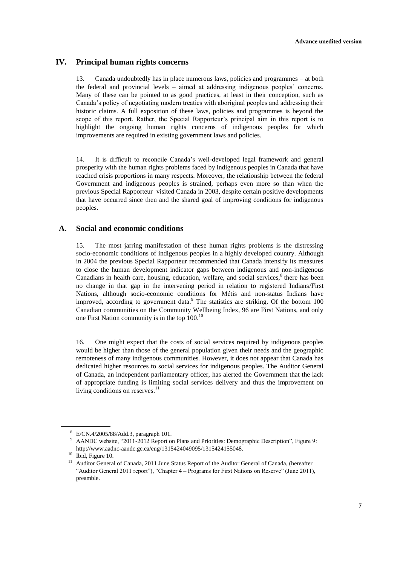## **IV. Principal human rights concerns**

13. Canada undoubtedly has in place numerous laws, policies and programmes – at both the federal and provincial levels – aimed at addressing indigenous peoples' concerns. Many of these can be pointed to as good practices, at least in their conception, such as Canada's policy of negotiating modern treaties with aboriginal peoples and addressing their historic claims. A full exposition of these laws, policies and programmes is beyond the scope of this report. Rather, the Special Rapporteur's principal aim in this report is to highlight the ongoing human rights concerns of indigenous peoples for which improvements are required in existing government laws and policies.

14. It is difficult to reconcile Canada's well-developed legal framework and general prosperity with the human rights problems faced by indigenous peoples in Canada that have reached crisis proportions in many respects. Moreover, the relationship between the federal Government and indigenous peoples is strained, perhaps even more so than when the previous Special Rapporteur visited Canada in 2003, despite certain positive developments that have occurred since then and the shared goal of improving conditions for indigenous peoples.

### **A. Social and economic conditions**

15. The most jarring manifestation of these human rights problems is the distressing socio-economic conditions of indigenous peoples in a highly developed country. Although in 2004 the previous Special Rapporteur recommended that Canada intensify its measures to close the human development indicator gaps between indigenous and non-indigenous Canadians in health care, housing, education, welfare, and social services, $<sup>8</sup>$  there has been</sup> no change in that gap in the intervening period in relation to registered Indians/First Nations, although socio-economic conditions for Métis and non-status Indians have improved, according to government data.<sup>9</sup> The statistics are striking. Of the bottom 100 Canadian communities on the Community Wellbeing Index, 96 are First Nations, and only one First Nation community is in the top  $100^{10}$ 

16. One might expect that the costs of social services required by indigenous peoples would be higher than those of the general population given their needs and the geographic remoteness of many indigenous communities. However, it does not appear that Canada has dedicated higher resources to social services for indigenous peoples. The Auditor General of Canada, an independent parliamentary officer, has alerted the Government that the lack of appropriate funding is limiting social services delivery and thus the improvement on living conditions on reserves. $<sup>11</sup>$ </sup>

<sup>8</sup> E/CN.4/2005/88/Add.3, paragraph 101.

AANDC website, "2011-2012 Report on Plans and Priorities: Demographic Description", Figure 9: http://www.aadnc-aandc.gc.ca/eng/1315424049095/1315424155048.

<sup>&</sup>lt;sup>10</sup> Ibid, Figure 10.

<sup>11</sup> Auditor General of Canada, 2011 June Status Report of the Auditor General of Canada, (hereafter "Auditor General 2011 report"), "Chapter 4 – Programs for First Nations on Reserve" (June 2011), preamble.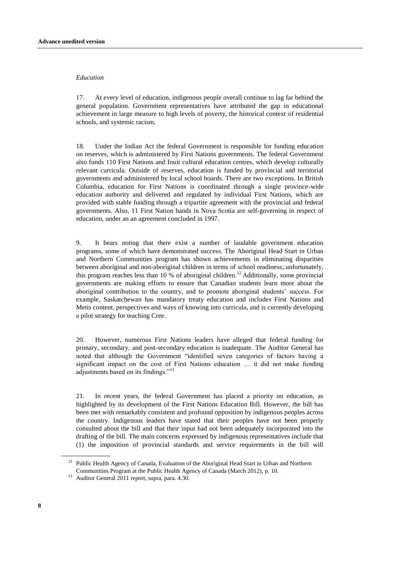#### *Education*

17. At every level of education, indigenous people overall continue to lag far behind the general population. Government representatives have attributed the gap in educational achievement in large measure to high levels of poverty, the historical context of residential schools, and systemic racism.

18. Under the Indian Act the federal Government is responsible for funding education on reserves, which is administered by First Nations governments. The federal Government also funds 110 First Nations and Inuit cultural education centres, which develop culturally relevant curricula. Outside of reserves, education is funded by provincial and territorial governments and administered by local school boards. There are two exceptions. In British Columbia, education for First Nations is coordinated through a single province-wide education authority and delivered and regulated by individual First Nations, which are provided with stable funding through a tripartite agreement with the provincial and federal governments. Also, 11 First Nation bands in Nova Scotia are self-governing in respect of education, under an an agreement concluded in 1997.

9. It bears noting that there exist a number of laudable government education programs, some of which have demonstrated success. The Aboriginal Head Start in Urban and Northern Communities program has shown achievements in eliminating disparities between aboriginal and non-aboriginal children in terms of school readiness;.unfortunately, this program reaches less than 10 % of aboriginal children.<sup>12</sup> Additionally, some provincial governments are making efforts to ensure that Canadian students learn more about the aboriginal contribution to the country, and to promote aboriginal students' success. For example, Saskatchewan has mandatory treaty education and includes First Nations and Metis content, perspectives and ways of knowing into curricula, and is currently developing a pilot strategy for teaching Cree.

20. However, numerous First Nations leaders have alleged that federal funding for primary, secondary, and post-secondary education is inadequate. The Auditor General has noted that although the Government "identified seven categories of factors having a significant impact on the cost of First Nations education … it did not make funding adjustments based on its findings."<sup>13</sup>

21. In recent years, the federal Government has placed a priority on education, as highlighted by its development of the First Nations Education Bill. However, the bill has been met with remarkably consistent and profound opposition by indigenous peoples across the country. Indigenous leaders have stated that their peoples have not been properly consulted about the bill and that their input had not been adequately incorporated into the drafting of the bill. The main concerns expressed by indigenous representatives include that (1) the imposition of provincial standards and service requirements in the bill will

<sup>&</sup>lt;sup>12</sup> Public Health Agency of Canada, Evaluation of the Aboriginal Head Start in Urban and Northern Communities Program at the Public Health Agency of Canada (March 2012), p. 10.

<sup>13</sup> Auditor General 2011 report, supra, para. 4.30.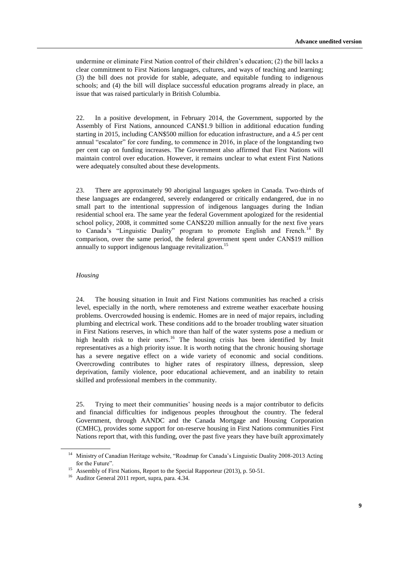undermine or eliminate First Nation control of their children's education; (2) the bill lacks a clear commitment to First Nations languages, cultures, and ways of teaching and learning; (3) the bill does not provide for stable, adequate, and equitable funding to indigenous schools; and (4) the bill will displace successful education programs already in place, an issue that was raised particularly in British Columbia.

22. In a positive development, in February 2014, the Government, supported by the Assembly of First Nations, announced CAN\$1.9 billion in additional education funding starting in 2015, including CAN\$500 million for education infrastructure, and a 4.5 per cent annual "escalator" for core funding, to commence in 2016, in place of the longstanding two per cent cap on funding increases. The Government also affirmed that First Nations will maintain control over education. However, it remains unclear to what extent First Nations were adequately consulted about these developments.

23. There are approximately 90 aboriginal languages spoken in Canada. Two-thirds of these languages are endangered, severely endangered or critically endangered, due in no small part to the intentional suppression of indigenous languages during the Indian residential school era. The same year the federal Government apologized for the residential school policy, 2008, it committed some CAN\$220 million annually for the next five years to Canada's "Linguistic Duality" program to promote English and French.<sup>14</sup> By comparison, over the same period, the federal government spent under CAN\$19 million annually to support indigenous language revitalization.<sup>15</sup>

#### *Housing*

24. The housing situation in Inuit and First Nations communities has reached a crisis level, especially in the north, where remoteness and extreme weather exacerbate housing problems. Overcrowded housing is endemic. Homes are in need of major repairs, including plumbing and electrical work. These conditions add to the broader troubling water situation in First Nations reserves, in which more than half of the water systems pose a medium or high health risk to their users.<sup>16</sup> The housing crisis has been identified by Inuit representatives as a high priority issue. It is worth noting that the chronic housing shortage has a severe negative effect on a wide variety of economic and social conditions. Overcrowding contributes to higher rates of respiratory illness, depression, sleep deprivation, family violence, poor educational achievement, and an inability to retain skilled and professional members in the community.

25. Trying to meet their communities' housing needs is a major contributor to deficits and financial difficulties for indigenous peoples throughout the country. The federal Government, through AANDC and the Canada Mortgage and Housing Corporation (CMHC), provides some support for on-reserve housing in First Nations communities First Nations report that, with this funding, over the past five years they have built approximately

<sup>&</sup>lt;sup>14</sup> Ministry of Canadian Heritage website, "Roadmap for Canada's Linguistic Duality 2008-2013 Acting for the Future".

<sup>&</sup>lt;sup>15</sup> Assembly of First Nations, Report to the Special Rapporteur (2013), p. 50-51.

<sup>16</sup> Auditor General 2011 report, supra, para. 4.34.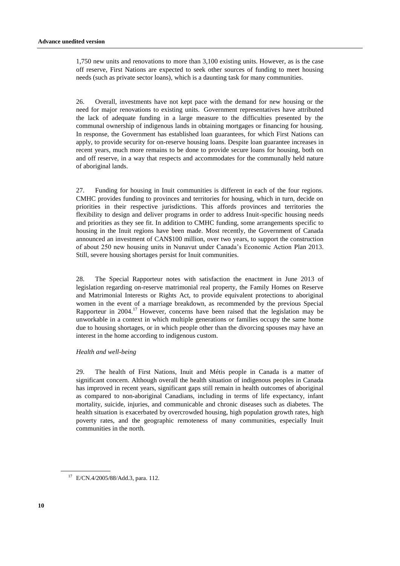1,750 new units and renovations to more than 3,100 existing units. However, as is the case off reserve, First Nations are expected to seek other sources of funding to meet housing needs (such as private sector loans), which is a daunting task for many communities.

26. Overall, investments have not kept pace with the demand for new housing or the need for major renovations to existing units. Government representatives have attributed the lack of adequate funding in a large measure to the difficulties presented by the communal ownership of indigenous lands in obtaining mortgages or financing for housing. In response, the Government has established loan guarantees, for which First Nations can apply, to provide security for on-reserve housing loans. Despite loan guarantee increases in recent years, much more remains to be done to provide secure loans for housing, both on and off reserve, in a way that respects and accommodates for the communally held nature of aboriginal lands.

27. Funding for housing in Inuit communities is different in each of the four regions. CMHC provides funding to provinces and territories for housing, which in turn, decide on priorities in their respective jurisdictions. This affords provinces and territories the flexibility to design and deliver programs in order to address Inuit-specific housing needs and priorities as they see fit. In addition to CMHC funding, some arrangements specific to housing in the Inuit regions have been made. Most recently, the Government of Canada announced an investment of CAN\$100 million, over two years, to support the construction of about 250 new housing units in Nunavut under Canada's Economic Action Plan 2013. Still, severe housing shortages persist for Inuit communities.

28. The Special Rapporteur notes with satisfaction the enactment in June 2013 of legislation regarding on-reserve matrimonial real property, the Family Homes on Reserve and Matrimonial Interests or Rights Act, to provide equivalent protections to aboriginal women in the event of a marriage breakdown, as recommended by the previous Special Rapporteur in 2004.<sup>17</sup> However, concerns have been raised that the legislation may be unworkable in a context in which multiple generations or families occupy the same home due to housing shortages, or in which people other than the divorcing spouses may have an interest in the home according to indigenous custom.

#### *Health and well-being*

29. The health of First Nations, Inuit and Métis people in Canada is a matter of significant concern. Although overall the health situation of indigenous peoples in Canada has improved in recent years, significant gaps still remain in health outcomes of aboriginal as compared to non-aboriginal Canadians, including in terms of life expectancy, infant mortality, suicide, injuries, and communicable and chronic diseases such as diabetes. The health situation is exacerbated by overcrowded housing, high population growth rates, high poverty rates, and the geographic remoteness of many communities, especially Inuit communities in the north.

<sup>17</sup> E/CN.4/2005/88/Add.3, para. 112.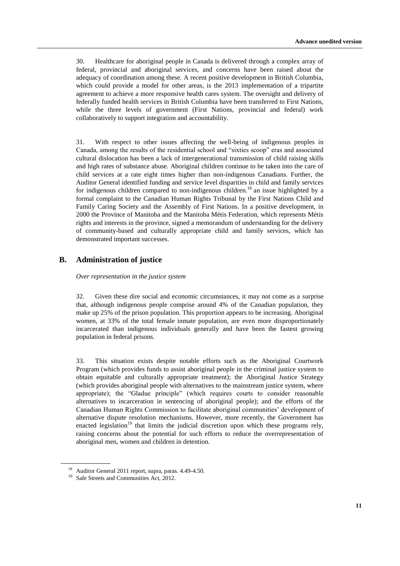30. Healthcare for aboriginal people in Canada is delivered through a complex array of federal, provincial and aboriginal services, and concerns have been raised about the adequacy of coordination among these. A recent positive development in British Columbia, which could provide a model for other areas, is the 2013 implementation of a tripartite agreement to achieve a more responsive health cares system. The oversight and delivery of federally funded health services in British Columbia have been transferred to First Nations, while the three levels of government (First Nations, provincial and federal) work collaboratively to support integration and accountability.

31. With respect to other issues affecting the well-being of indigenous peoples in Canada, among the results of the residential school and "sixties scoop" eras and associated cultural dislocation has been a lack of intergenerational transmission of child raising skills and high rates of substance abuse. Aboriginal children continue to be taken into the care of child services at a rate eight times higher than non-indigenous Canadians. Further, the Auditor General identified funding and service level disparities in child and family services for indigenous children compared to non-indigenous children.<sup>18</sup> an issue highlighted by a formal complaint to the Canadian Human Rights Tribunal by the First Nations Child and Family Caring Society and the Assembly of First Nations. In a positive development, in 2000 the Province of Manitoba and the Manitoba Métis Federation, which represents Métis rights and interests in the province, signed a memorandum of understanding for the delivery of community-based and culturally appropriate child and family services, which has demonstrated important successes.

## **B. Administration of justice**

*Over representation in the justice system*

32. Given these dire social and economic circumstances, it may not come as a surprise that, although indigenous people comprise around 4% of the Canadian population, they make up 25% of the prison population. This proportion appears to be increasing. Aboriginal women, at 33% of the total female inmate population, are even more disproportionately incarcerated than indigenous individuals generally and have been the fastest growing population in federal prisons.

33. This situation exists despite notable efforts such as the Aboriginal Courtwork Program (which provides funds to assist aboriginal people in the criminal justice system to obtain equitable and culturally appropriate treatment); the Aboriginal Justice Strategy (which provides aboriginal people with alternatives to the mainstream justice system, where appropriate); the "Gladue principle" (which requires courts to consider reasonable alternatives to incarceration in sentencing of aboriginal people); and the efforts of the Canadian Human Rights Commission to facilitate aboriginal communities' development of alternative dispute resolution mechanisms. However, more recently, the Government has enacted legislation<sup>19</sup> that limits the judicial discretion upon which these programs rely, raising concerns about the potential for such efforts to reduce the overrepresentation of aboriginal men, women and children in detention.

<sup>18</sup> Auditor General 2011 report, supra, paras. 4.49-4.50.

<sup>&</sup>lt;sup>19</sup> Safe Streets and Communities Act, 2012.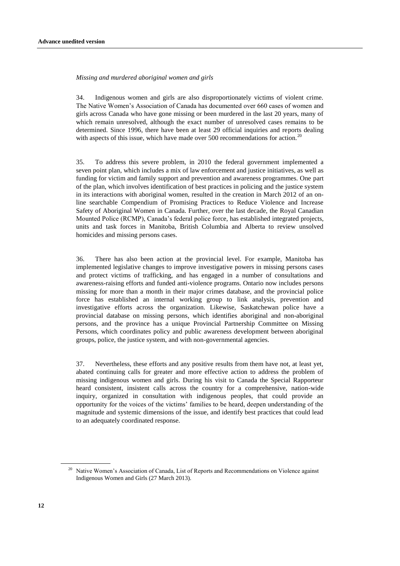#### *Missing and murdered aboriginal women and girls*

34. Indigenous women and girls are also disproportionately victims of violent crime. The Native Women's Association of Canada has documented over 660 cases of women and girls across Canada who have gone missing or been murdered in the last 20 years, many of which remain unresolved, although the exact number of unresolved cases remains to be determined. Since 1996, there have been at least 29 official inquiries and reports dealing with aspects of this issue, which have made over 500 recommendations for action.<sup>20</sup>

35. To address this severe problem, in 2010 the federal government implemented a seven point plan, which includes a mix of law enforcement and justice initiatives, as well as funding for victim and family support and prevention and awareness programmes. One part of the plan, which involves identification of best practices in policing and the justice system in its interactions with aboriginal women, resulted in the creation in March 2012 of an online searchable Compendium of Promising Practices to Reduce Violence and Increase Safety of Aboriginal Women in Canada. Further, over the last decade, the Royal Canadian Mounted Police (RCMP), Canada's federal police force, has established integrated projects, units and task forces in Manitoba, British Columbia and Alberta to review unsolved homicides and missing persons cases.

36. There has also been action at the provincial level. For example, Manitoba has implemented legislative changes to improve investigative powers in missing persons cases and protect victims of trafficking, and has engaged in a number of consultations and awareness-raising efforts and funded anti-violence programs. Ontario now includes persons missing for more than a month in their major crimes database, and the provincial police force has established an internal working group to link analysis, prevention and investigative efforts across the organization. Likewise, Saskatchewan police have a provincial database on missing persons, which identifies aboriginal and non-aboriginal persons, and the province has a unique Provincial Partnership Committee on Missing Persons, which coordinates policy and public awareness development between aboriginal groups, police, the justice system, and with non-governmental agencies.

37. Nevertheless, these efforts and any positive results from them have not, at least yet, abated continuing calls for greater and more effective action to address the problem of missing indigenous women and girls. During his visit to Canada the Special Rapporteur heard consistent, insistent calls across the country for a comprehensive, nation-wide inquiry, organized in consultation with indigenous peoples, that could provide an opportunity for the voices of the victims' families to be heard, deepen understanding of the magnitude and systemic dimensions of the issue, and identify best practices that could lead to an adequately coordinated response.

<sup>&</sup>lt;sup>20</sup> Native Women's Association of Canada, List of Reports and Recommendations on Violence against Indigenous Women and Girls (27 March 2013).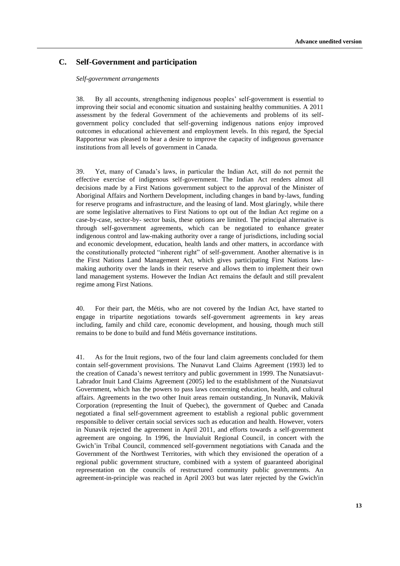## **C. Self-Government and participation**

#### *Self-government arrangements*

38. By all accounts, strengthening indigenous peoples' self-government is essential to improving their social and economic situation and sustaining healthy communities. A 2011 assessment by the federal Government of the achievements and problems of its selfgovernment policy concluded that self-governing indigenous nations enjoy improved outcomes in educational achievement and employment levels. In this regard, the Special Rapporteur was pleased to hear a desire to improve the capacity of indigenous governance institutions from all levels of government in Canada.

39. Yet, many of Canada's laws, in particular the Indian Act, still do not permit the effective exercise of indigenous self-government. The Indian Act renders almost all decisions made by a First Nations government subject to the approval of the Minister of Aboriginal Affairs and Northern Development, including changes in band by-laws, funding for reserve programs and infrastructure, and the leasing of land. Most glaringly, while there are some legislative alternatives to First Nations to opt out of the Indian Act regime on a case-by-case, sector-by- sector basis, these options are limited. The principal alternative is through self-government agreements, which can be negotiated to enhance greater indigenous control and law-making authority over a range of jurisdictions, including social and economic development, education, health lands and other matters, in accordance with the constitutionally protected "inherent right" of self-government. Another alternative is in the First Nations Land Management Act, which gives participating First Nations lawmaking authority over the lands in their reserve and allows them to implement their own land management systems. However the Indian Act remains the default and still prevalent regime among First Nations.

40. For their part, the Métis, who are not covered by the Indian Act, have started to engage in tripartite negotiations towards self-government agreements in key areas including, family and child care, economic development, and housing, though much still remains to be done to build and fund Métis governance institutions.

41. As for the Inuit regions, two of the four land claim agreements concluded for them contain self-government provisions. The Nunavut Land Claims Agreement (1993) led to the creation of Canada's newest territory and public government in 1999. The Nunatsiavut-Labrador Inuit Land Claims Agreement (2005) led to the establishment of the Nunatsiavut Government, which has the powers to pass laws concerning education, health, and cultural affairs. Agreements in the two other Inuit areas remain outstanding. In Nunavik, Makivik Corporation (representing the Inuit of Quebec), the government of Quebec and Canada negotiated a final self-government agreement to establish a regional public government responsible to deliver certain social services such as education and health. However, voters in Nunavik rejected the agreement in April 2011, and efforts towards a self-government agreement are ongoing. In 1996, the Inuvialuit Regional Council, in concert with the Gwich'in Tribal Council, commenced self-government negotiations with Canada and the Government of the Northwest Territories, with which they envisioned the operation of a regional public government structure, combined with a system of guaranteed aboriginal representation on the councils of restructured community public governments. An agreement-in-principle was reached in April 2003 but was later rejected by the Gwich'in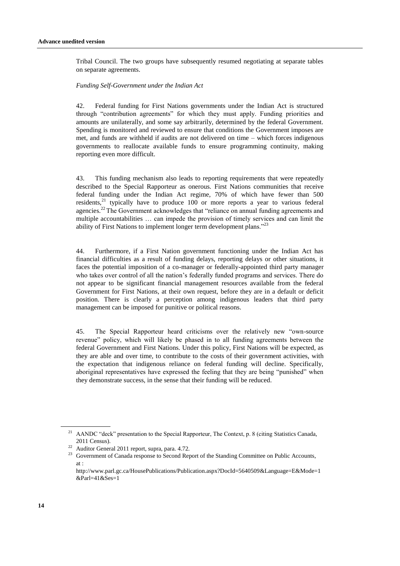Tribal Council. The two groups have subsequently resumed negotiating at separate tables on separate agreements.

#### *Funding Self-Government under the Indian Act*

42. Federal funding for First Nations governments under the Indian Act is structured through "contribution agreements" for which they must apply. Funding priorities and amounts are unilaterally, and some say arbitrarily, determined by the federal Government. Spending is monitored and reviewed to ensure that conditions the Government imposes are met, and funds are withheld if audits are not delivered on time – which forces indigenous governments to reallocate available funds to ensure programming continuity, making reporting even more difficult.

43. This funding mechanism also leads to reporting requirements that were repeatedly described to the Special Rapporteur as onerous. First Nations communities that receive federal funding under the Indian Act regime, 70% of which have fewer than 500 residents, $21$  typically have to produce 100 or more reports a year to various federal agencies.<sup>22</sup> The Government acknowledges that "reliance on annual funding agreements and multiple accountabilities … can impede the provision of timely services and can limit the ability of First Nations to implement longer term development plans."<sup>23</sup>

44. Furthermore, if a First Nation government functioning under the Indian Act has financial difficulties as a result of funding delays, reporting delays or other situations, it faces the potential imposition of a co-manager or federally-appointed third party manager who takes over control of all the nation's federally funded programs and services. There do not appear to be significant financial management resources available from the federal Government for First Nations, at their own request, before they are in a default or deficit position. There is clearly a perception among indigenous leaders that third party management can be imposed for punitive or political reasons.

45. The Special Rapporteur heard criticisms over the relatively new "own-source revenue" policy, which will likely be phased in to all funding agreements between the federal Government and First Nations. Under this policy, First Nations will be expected, as they are able and over time, to contribute to the costs of their government activities, with the expectation that indigenous reliance on federal funding will decline. Specifically, aboriginal representatives have expressed the feeling that they are being "punished" when they demonstrate success, in the sense that their funding will be reduced.

<sup>&</sup>lt;sup>21</sup> AANDC "deck" presentation to the Special Rapporteur, The Context, p. 8 (citing Statistics Canada, 2011 Census).

<sup>22</sup> Auditor General 2011 report, supra, para. 4.72.

<sup>&</sup>lt;sup>23</sup> Government of Canada response to Second Report of the Standing Committee on Public Accounts, at :

http://www.parl.gc.ca/HousePublications/Publication.aspx?DocId=5640509&Language=E&Mode=1 &Parl=41&Ses=1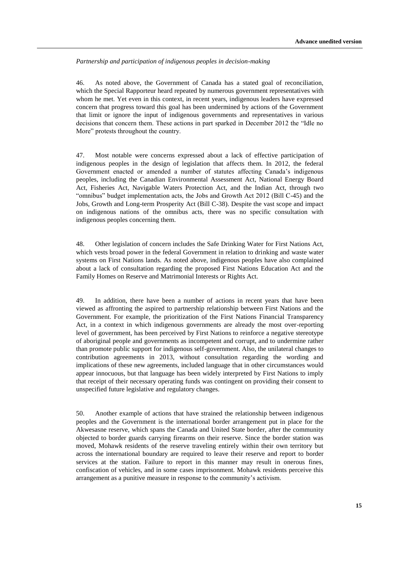#### *Partnership and participation of indigenous peoples in decision-making*

46. As noted above, the Government of Canada has a stated goal of reconciliation, which the Special Rapporteur heard repeated by numerous government representatives with whom he met. Yet even in this context, in recent years, indigenous leaders have expressed concern that progress toward this goal has been undermined by actions of the Government that limit or ignore the input of indigenous governments and representatives in various decisions that concern them. These actions in part sparked in December 2012 the "Idle no More" protests throughout the country.

47. Most notable were concerns expressed about a lack of effective participation of indigenous peoples in the design of legislation that affects them. In 2012, the federal Government enacted or amended a number of statutes affecting Canada's indigenous peoples, including the Canadian Environmental Assessment Act, National Energy Board Act, Fisheries Act, Navigable Waters Protection Act, and the Indian Act, through two "omnibus" budget implementation acts, the Jobs and Growth Act 2012 (Bill C-45) and the Jobs, Growth and Long-term Prosperity Act (Bill C-38). Despite the vast scope and impact on indigenous nations of the omnibus acts, there was no specific consultation with indigenous peoples concerning them.

48. Other legislation of concern includes the Safe Drinking Water for First Nations Act, which vests broad power in the federal Government in relation to drinking and waste water systems on First Nations lands. As noted above, indigenous peoples have also complained about a lack of consultation regarding the proposed First Nations Education Act and the Family Homes on Reserve and Matrimonial Interests or Rights Act.

49. In addition, there have been a number of actions in recent years that have been viewed as affronting the aspired to partnership relationship between First Nations and the Government. For example, the prioritization of the First Nations Financial Transparency Act, in a context in which indigenous governments are already the most over-reporting level of government, has been perceived by First Nations to reinforce a negative stereotype of aboriginal people and governments as incompetent and corrupt, and to undermine rather than promote public support for indigenous self-government. Also, the unilateral changes to contribution agreements in 2013, without consultation regarding the wording and implications of these new agreements, included language that in other circumstances would appear innocuous, but that language has been widely interpreted by First Nations to imply that receipt of their necessary operating funds was contingent on providing their consent to unspecified future legislative and regulatory changes.

50. Another example of actions that have strained the relationship between indigenous peoples and the Government is the international border arrangement put in place for the Akwesasne reserve, which spans the Canada and United State border, after the community objected to border guards carrying firearms on their reserve. Since the border station was moved, Mohawk residents of the reserve traveling entirely within their own territory but across the international boundary are required to leave their reserve and report to border services at the station. Failure to report in this manner may result in onerous fines, confiscation of vehicles, and in some cases imprisonment. Mohawk residents perceive this arrangement as a punitive measure in response to the community's activism.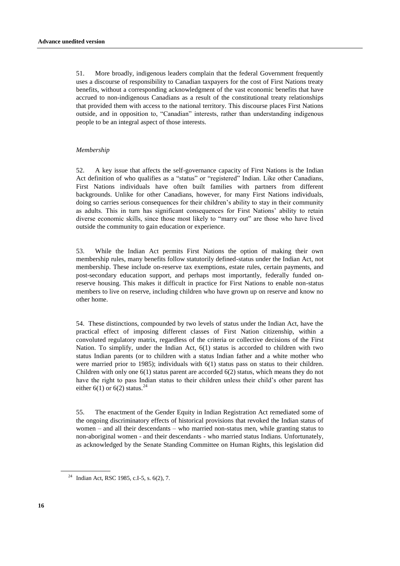51. More broadly, indigenous leaders complain that the federal Government frequently uses a discourse of responsibility to Canadian taxpayers for the cost of First Nations treaty benefits, without a corresponding acknowledgment of the vast economic benefits that have accrued to non-indigenous Canadians as a result of the constitutional treaty relationships that provided them with access to the national territory. This discourse places First Nations outside, and in opposition to, "Canadian" interests, rather than understanding indigenous people to be an integral aspect of those interests.

#### *Membership*

52. A key issue that affects the self-governance capacity of First Nations is the Indian Act definition of who qualifies as a "status" or "registered" Indian. Like other Canadians, First Nations individuals have often built families with partners from different backgrounds. Unlike for other Canadians, however, for many First Nations individuals, doing so carries serious consequences for their children's ability to stay in their community as adults. This in turn has significant consequences for First Nations' ability to retain diverse economic skills, since those most likely to "marry out" are those who have lived outside the community to gain education or experience.

53. While the Indian Act permits First Nations the option of making their own membership rules, many benefits follow statutorily defined-status under the Indian Act, not membership. These include on-reserve tax exemptions, estate rules, certain payments, and post-secondary education support, and perhaps most importantly, [federally funded](http://www.aadnc-aandc.gc.ca/eng/1100100028564/1100100028566) [on](http://www.parl.gc.ca/Content/LOP/researchpublications/bp410-e.htm#dprogramstx)[reserve housing.](http://www.parl.gc.ca/Content/LOP/researchpublications/bp410-e.htm#dprogramstx) This makes it difficult in practice for First Nations to enable non-status members to live on reserve, including children who have grown up on reserve and know no other home.

54. These distinctions, compounded by two levels of status under the Indian Act, have the practical effect of imposing different classes of First Nation citizenship, within a convoluted regulatory matrix, regardless of the criteria or collective decisions of the First Nation. To simplify, under the Indian Act, 6(1) status is accorded to children with two status Indian parents (or to children with a status Indian father and a white mother who were married prior to 1985); individuals with 6(1) status pass on status to their children. Children with only one 6(1) status parent are accorded 6(2) status, which means they do not have the right to pass Indian status to their children unless their child's other parent has either 6(1) or 6(2) status.<sup>24</sup>

55. The enactment of the Gender Equity in Indian Registration Act remediated some of the ongoing discriminatory effects of historical provisions that revoked the Indian status of women – and all their descendants – who married non-status men, while granting status to non-aboriginal women - and their descendants - who married status Indians. Unfortunately, as acknowledged by the Senate Standing Committee on Human Rights, this legislation did

<sup>&</sup>lt;sup>24</sup> Indian Act, RSC 1985, c.I-5, s. 6(2), 7.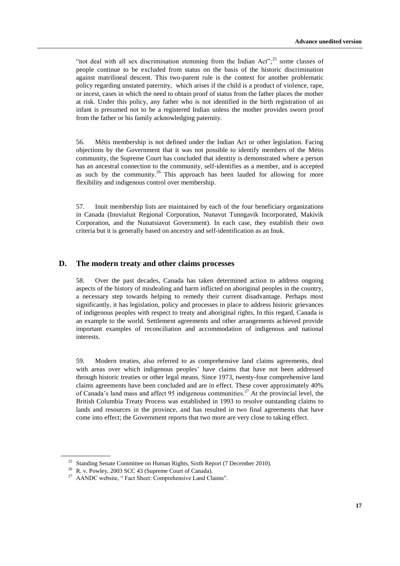"not deal with all sex discrimination stemming from the Indian Act";  $25$  some classes of people continue to be excluded from status on the basis of the historic discrimination against matrilineal descent. This two-parent rule is the context for another problematic policy regarding unstated paternity, which arises if the child is a product of violence, rape, or incest, cases in which the need to obtain proof of status from the father places the mother at risk. Under this policy, any father who is not identified in the birth registration of an infant is presumed not to be a registered Indian unless the mother provides sworn proof from the father or his family acknowledging paternity.

56. Métis membership is not defined under the Indian Act or other legislation. Facing objections by the Government that it was not possible to identify members of the Métis community, the Supreme Court has concluded that identity is demonstrated where a person has an ancestral connection to the community, self-identifies as a member, and is accepted as such by the community.<sup>26</sup> This approach has been lauded for allowing for more flexibility and indigenous control over membership.

57. Inuit membership lists are maintained by each of the four beneficiary organizations in Canada (Inuvialuit Regional Corporation, Nunavut Tunngavik Incorporated, Makivik Corporation, and the Nunatsiavut Government). In each case, they establish their own criteria but it is generally based on ancestry and self-identification as an Inuk.

### **D. The modern treaty and other claims processes**

58. Over the past decades, Canada has taken determined action to address ongoing aspects of the history of misdealing and harm inflicted on aboriginal peoples in the country, a necessary step towards helping to remedy their current disadvantage. Perhaps most significantly, it has legislation, policy and processes in place to address historic grievances of indigenous peoples with respect to treaty and aboriginal rights, In this regard, Canada is an example to the world. Settlement agreements and other arrangements achieved provide important examples of reconciliation and accommodation of indigenous and national interests.

59. Modern treaties, also referred to as comprehensive land claims agreements, deal with areas over which indigenous peoples' have claims that have not been addressed through historic treaties or other legal means. Since 1973, twenty-four comprehensive land claims agreements have been concluded and are in effect. These cover approximately 40% of Canada's land mass and affect 95 indigenous communities.<sup>27</sup> At the provincial level, the British Columbia Treaty Process was established in 1993 to resolve outstanding claims to lands and resources in the province, and has resulted in two final agreements that have come into effect; the Government reports that two more are very close to taking effect.

<sup>&</sup>lt;sup>25</sup> Standing Senate Committee on Human Rights, Sixth Report (7 December 2010).

<sup>26</sup> R. v. Powley, 2003 SCC 43 (Supreme Court of Canada).

<sup>&</sup>lt;sup>27</sup> AANDC website, "Fact Sheet: Comprehensive Land Claims".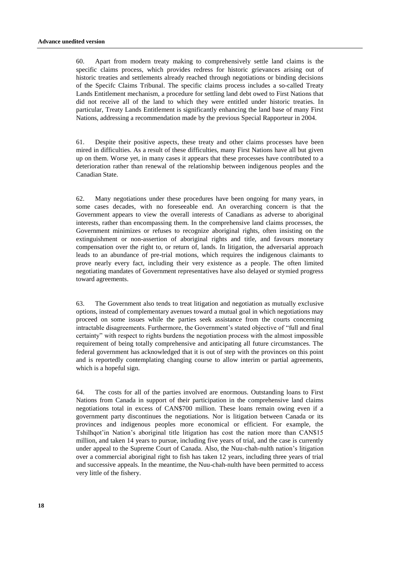60. Apart from modern treaty making to comprehensively settle land claims is the specific claims process, which provides redress for historic grievances arising out of historic treaties and settlements already reached through negotiations or binding decisions of the Specifc Claims Tribunal. The specific claims process includes a so-called Treaty Lands Entitlement mechanism, a procedure for settling land debt owed to First Nations that did not receive all of the land to which they were entitled under historic treaties. In particular, Treaty Lands Entitlement is significantly enhancing the land base of many First Nations, addressing a recommendation made by the previous Special Rapporteur in 2004.

61. Despite their positive aspects, these treaty and other claims processes have been mired in difficulties. As a result of these difficulties, many First Nations have all but given up on them. Worse yet, in many cases it appears that these processes have contributed to a deterioration rather than renewal of the relationship between indigenous peoples and the Canadian State.

62. Many negotiations under these procedures have been ongoing for many years, in some cases decades, with no foreseeable end. An overarching concern is that the Government appears to view the overall interests of Canadians as adverse to aboriginal interests, rather than encompassing them. In the comprehensive land claims processes, the Government minimizes or refuses to recognize aboriginal rights, often insisting on the extinguishment or non-assertion of aboriginal rights and title, and favours monetary compensation over the right to, or return of, lands. In litigation, the adversarial approach leads to an abundance of pre-trial motions, which requires the indigenous claimants to prove nearly every fact, including their very existence as a people. The often limited negotiating mandates of Government representatives have also delayed or stymied progress toward agreements.

63. The Government also tends to treat litigation and negotiation as mutually exclusive options, instead of complementary avenues toward a mutual goal in which negotiations may proceed on some issues while the parties seek assistance from the courts concerning intractable disagreements. Furthermore, the Government's stated objective of "full and final certainty" with respect to rights burdens the negotiation process with the almost impossible requirement of being totally comprehensive and anticipating all future circumstances. The federal government has acknowledged that it is out of step with the provinces on this point and is reportedly contemplating changing course to allow interim or partial agreements, which is a hopeful sign.

64. The costs for all of the parties involved are enormous. Outstanding loans to First Nations from Canada in support of their participation in the comprehensive land claims negotiations total in excess of CAN\$700 million. These loans remain owing even if a government party discontinues the negotiations. Nor is litigation between Canada or its provinces and indigenous peoples more economical or efficient. For example, the Tshilhqot'in Nation's aboriginal title litigation has cost the nation more than CAN\$15 million, and taken 14 years to pursue, including five years of trial, and the case is currently under appeal to the Supreme Court of Canada. Also, the Nuu-chah-nulth nation's litigation over a commercial aboriginal right to fish has taken 12 years, including three years of trial and successive appeals. In the meantime, the Nuu-chah-nulth have been permitted to access very little of the fishery.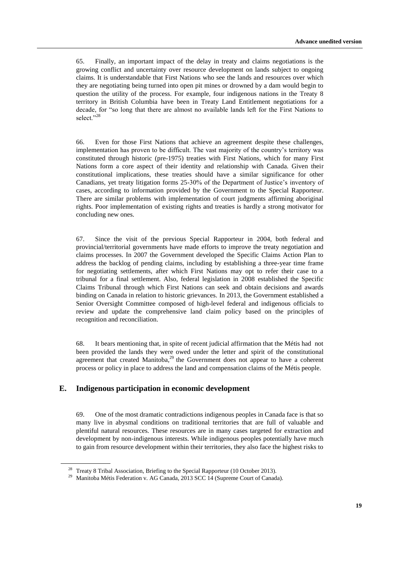65. Finally, an important impact of the delay in treaty and claims negotiations is the growing conflict and uncertainty over resource development on lands subject to ongoing claims. It is understandable that First Nations who see the lands and resources over which they are negotiating being turned into open pit mines or drowned by a dam would begin to question the utility of the process. For example, four indigenous nations in the Treaty 8 territory in British Columbia have been in Treaty Land Entitlement negotiations for a decade, for "so long that there are almost no available lands left for the First Nations to select."<sup>28</sup>

66. Even for those First Nations that achieve an agreement despite these challenges, implementation has proven to be difficult. The vast majority of the country's territory was constituted through historic (pre-1975) treaties with First Nations, which for many First Nations form a core aspect of their identity and relationship with Canada. Given their constitutional implications, these treaties should have a similar significance for other Canadians, yet treaty litigation forms 25-30% of the Department of Justice's inventory of cases, according to information provided by the Government to the Special Rapporteur. There are similar problems with implementation of court judgments affirming aboriginal rights. Poor implementation of existing rights and treaties is hardly a strong motivator for concluding new ones.

67. Since the visit of the previous Special Rapporteur in 2004, both federal and provincial/territorial governments have made efforts to improve the treaty negotiation and claims processes. In 2007 the Government developed the Specific Claims Action Plan to address the backlog of pending claims, including by establishing a three-year time frame for negotiating settlements, after which First Nations may opt to refer their case to a tribunal for a final settlement. Also, federal legislation in 2008 established the Specific Claims Tribunal through which First Nations can seek and obtain decisions and awards binding on Canada in relation to historic grievances. In 2013, the Government established a Senior Oversight Committee composed of high-level federal and indigenous officials to review and update the comprehensive land claim policy based on the principles of recognition and reconciliation.

68. It bears mentioning that, in spite of recent judicial affirmation that the Métis had not been provided the lands they were owed under the letter and spirit of the constitutional agreement that created Manitoba, $2^9$  the Government does not appear to have a coherent process or policy in place to address the land and compensation claims of the Métis people.

## **E. Indigenous participation in economic development**

69. One of the most dramatic contradictions indigenous peoples in Canada face is that so many live in abysmal conditions on traditional territories that are full of valuable and plentiful natural resources. These resources are in many cases targeted for extraction and development by non-indigenous interests. While indigenous peoples potentially have much to gain from resource development within their territories, they also face the highest risks to

<sup>&</sup>lt;sup>28</sup> Treaty 8 Tribal Association, Briefing to the Special Rapporteur (10 October 2013).

<sup>&</sup>lt;sup>29</sup> Manitoba Métis Federation v. AG Canada, 2013 SCC 14 (Supreme Court of Canada).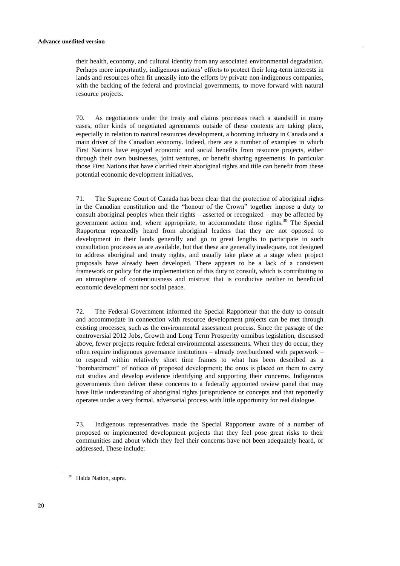their health, economy, and cultural identity from any associated environmental degradation. Perhaps more importantly, indigenous nations' efforts to protect their long-term interests in lands and resources often fit uneasily into the efforts by private non-indigenous companies, with the backing of the federal and provincial governments, to move forward with natural resource projects.

70. As negotiations under the treaty and claims processes reach a standstill in many cases, other kinds of negotiated agreements outside of these contexts are taking place, especially in relation to natural resources development, a booming industry in Canada and a main driver of the Canadian economy. Indeed, there are a number of examples in which First Nations have enjoyed economic and social benefits from resource projects, either through their own businesses, joint ventures, or benefit sharing agreements. In particular those First Nations that have clarified their aboriginal rights and title can benefit from these potential economic development initiatives.

71. The Supreme Court of Canada has been clear that the protection of aboriginal rights in the Canadian constitution and the "honour of the Crown" together impose a duty to consult aboriginal peoples when their rights – asserted or recognized – may be affected by government action and, where appropriate, to accommodate those rights.<sup>30</sup> The Special Rapporteur repeatedly heard from aboriginal leaders that they are not opposed to development in their lands generally and go to great lengths to participate in such consultation processes as are available, but that these are generally inadequate, not designed to address aboriginal and treaty rights, and usually take place at a stage when project proposals have already been developed. There appears to be a lack of a consistent framework or policy for the implementation of this duty to consult, which is contributing to an atmosphere of contentiousness and mistrust that is conducive neither to beneficial economic development nor social peace.

72. The Federal Government informed the Special Rapporteur that the duty to consult and accommodate in connection with resource development projects can be met through existing processes, such as the environmental assessment process. Since the passage of the controversial 2012 Jobs, Growth and Long Term Prosperity omnibus legislation, discussed above, fewer projects require federal environmental assessments. When they do occur, they often require indigenous governance institutions – already overburdened with paperwork – to respond within relatively short time frames to what has been described as a "bombardment" of notices of proposed development; the onus is placed on them to carry out studies and develop evidence identifying and supporting their concerns. Indigenous governments then deliver these concerns to a federally appointed review panel that may have little understanding of aboriginal rights jurisprudence or concepts and that reportedly operates under a very formal, adversarial process with little opportunity for real dialogue.

73. Indigenous representatives made the Special Rapporteur aware of a number of proposed or implemented development projects that they feel pose great risks to their communities and about which they feel their concerns have not been adequately heard, or addressed. These include:

<sup>&</sup>lt;sup>30</sup> Haida Nation, supra.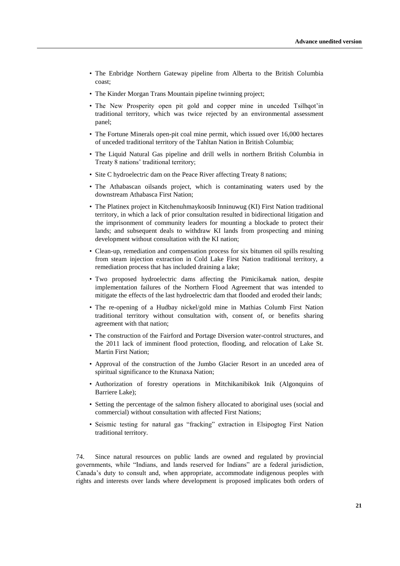- The Enbridge Northern Gateway pipeline from Alberta to the British Columbia coast;
- The Kinder Morgan Trans Mountain pipeline twinning project;
- The New Prosperity open pit gold and copper mine in unceded Tsilhqot'in traditional territory, which was twice rejected by an environmental assessment panel;
- The Fortune Minerals open-pit coal mine permit, which issued over 16,000 hectares of unceded traditional territory of the Tahltan Nation in British Columbia;
- The Liquid Natural Gas pipeline and drill wells in northern British Columbia in Treaty 8 nations' traditional territory;
- Site C hydroelectric dam on the Peace River affecting Treaty 8 nations:
- The Athabascan oilsands project, which is contaminating waters used by the downstream Athabasca First Nation;
- The Platinex project in Kitchenuhmaykoosib Inninuwug (KI) First Nation traditional territory, in which a lack of prior consultation resulted in bidirectional litigation and the imprisonment of community leaders for mounting a blockade to protect their lands; and subsequent deals to withdraw KI lands from prospecting and mining development without consultation with the KI nation;
- Clean-up, remediation and compensation process for six bitumen oil spills resulting from steam injection extraction in Cold Lake First Nation traditional territory, a remediation process that has included draining a lake;
- Two proposed hydroelectric dams affecting the Pimicikamak nation, despite implementation failures of the Northern Flood Agreement that was intended to mitigate the effects of the last hydroelectric dam that flooded and eroded their lands;
- The re-opening of a Hudbay nickel/gold mine in Mathias Columb First Nation traditional territory without consultation with, consent of, or benefits sharing agreement with that nation;
- The construction of the Fairford and Portage Diversion water-control structures, and the 2011 lack of imminent flood protection, flooding, and relocation of Lake St. Martin First Nation;
- Approval of the construction of the Jumbo Glacier Resort in an unceded area of spiritual significance to the Ktunaxa Nation;
- Authorization of forestry operations in Mitchikanibikok Inik (Algonquins of Barriere Lake);
- Setting the percentage of the salmon fishery allocated to aboriginal uses (social and commercial) without consultation with affected First Nations;
- Seismic testing for natural gas "fracking" extraction in Elsipogtog First Nation traditional territory.

74. Since natural resources on public lands are owned and regulated by provincial governments, while "Indians, and lands reserved for Indians" are a federal jurisdiction, Canada's duty to consult and, when appropriate, accommodate indigenous peoples with rights and interests over lands where development is proposed implicates both orders of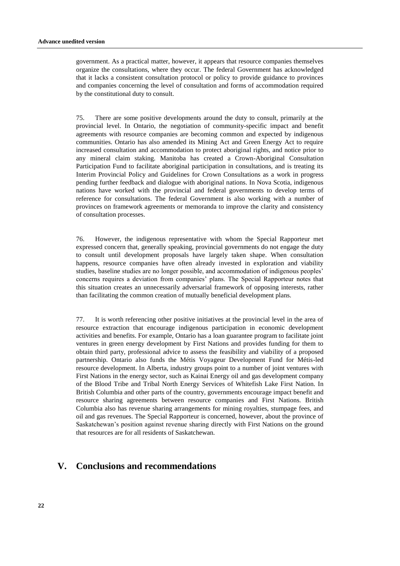government. As a practical matter, however, it appears that resource companies themselves organize the consultations, where they occur. The federal Government has acknowledged that it lacks a consistent consultation protocol or policy to provide guidance to provinces and companies concerning the level of consultation and forms of accommodation required by the constitutional duty to consult.

75. There are some positive developments around the duty to consult, primarily at the provincial level. In Ontario, the negotiation of community-specific impact and benefit agreements with resource companies are becoming common and expected by indigenous communities. Ontario has also amended its Mining Act and Green Energy Act to require increased consultation and accommodation to protect aboriginal rights, and notice prior to any mineral claim staking. Manitoba has created a Crown-Aboriginal Consultation Participation Fund to facilitate aboriginal participation in consultations, and is treating its Interim Provincial Policy and Guidelines for Crown Consultations as a work in progress pending further feedback and dialogue with aboriginal nations. In Nova Scotia, indigenous nations have worked with the provincial and federal governments to develop terms of reference for consultations. The federal Government is also working with a number of provinces on framework agreements or memoranda to improve the clarity and consistency of consultation processes.

76. However, the indigenous representative with whom the Special Rapporteur met expressed concern that, generally speaking, provincial governments do not engage the duty to consult until development proposals have largely taken shape. When consultation happens, resource companies have often already invested in exploration and viability studies, baseline studies are no longer possible, and accommodation of indigenous peoples' concerns requires a deviation from companies' plans. The Special Rapporteur notes that this situation creates an unnecessarily adversarial framework of opposing interests, rather than facilitating the common creation of mutually beneficial development plans.

77. It is worth referencing other positive initiatives at the provincial level in the area of resource extraction that encourage indigenous participation in economic development activities and benefits. For example, Ontario has a loan guarantee program to facilitate joint ventures in green energy development by First Nations and provides funding for them to obtain third party, professional advice to assess the feasibility and viability of a proposed partnership. Ontario also funds the Métis Voyageur Development Fund for Métis-led resource development. In Alberta, industry groups point to a number of joint ventures with First Nations in the energy sector, such as Kainai Energy oil and gas development company of the Blood Tribe and Tribal North Energy Services of Whitefish Lake First Nation. In British Columbia and other parts of the country, governments encourage impact benefit and resource sharing agreements between resource companies and First Nations. British Columbia also has revenue sharing arrangements for mining royalties, stumpage fees, and oil and gas revenues. The Special Rapporteur is concerned, however, about the province of Saskatchewan's position against revenue sharing directly with First Nations on the ground that resources are for all residents of Saskatchewan.

## **V. Conclusions and recommendations**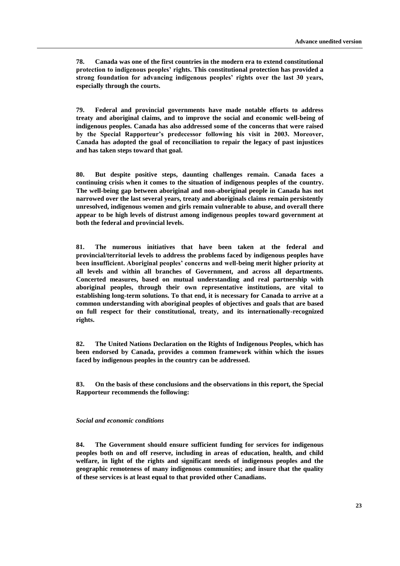**78. Canada was one of the first countries in the modern era to extend constitutional protection to indigenous peoples' rights. This constitutional protection has provided a strong foundation for advancing indigenous peoples' rights over the last 30 years, especially through the courts.** 

**79. Federal and provincial governments have made notable efforts to address treaty and aboriginal claims, and to improve the social and economic well-being of indigenous peoples. Canada has also addressed some of the concerns that were raised by the Special Rapporteur's predecessor following his visit in 2003. Moreover, Canada has adopted the goal of reconciliation to repair the legacy of past injustices and has taken steps toward that goal.** 

**80. But despite positive steps, daunting challenges remain. Canada faces a continuing crisis when it comes to the situation of indigenous peoples of the country. The well-being gap between aboriginal and non-aboriginal people in Canada has not narrowed over the last several years, treaty and aboriginals claims remain persistently unresolved, indigenous women and girls remain vulnerable to abuse, and overall there appear to be high levels of distrust among indigenous peoples toward government at both the federal and provincial levels.** 

**81. The numerous initiatives that have been taken at the federal and provincial/territorial levels to address the problems faced by indigenous peoples have been insufficient. Aboriginal peoples' concerns and well-being merit higher priority at all levels and within all branches of Government, and across all departments. Concerted measures, based on mutual understanding and real partnership with aboriginal peoples, through their own representative institutions, are vital to establishing long-term solutions. To that end, it is necessary for Canada to arrive at a common understanding with aboriginal peoples of objectives and goals that are based on full respect for their constitutional, treaty, and its internationally-recognized rights.**

**82. The United Nations Declaration on the Rights of Indigenous Peoples, which has been endorsed by Canada, provides a common framework within which the issues faced by indigenous peoples in the country can be addressed.** 

**83. On the basis of these conclusions and the observations in this report, the Special Rapporteur recommends the following:**

#### *Social and economic conditions*

**84. The Government should ensure sufficient funding for services for indigenous peoples both on and off reserve, including in areas of education, health, and child welfare, in light of the rights and significant needs of indigenous peoples and the geographic remoteness of many indigenous communities; and insure that the quality of these services is at least equal to that provided other Canadians.**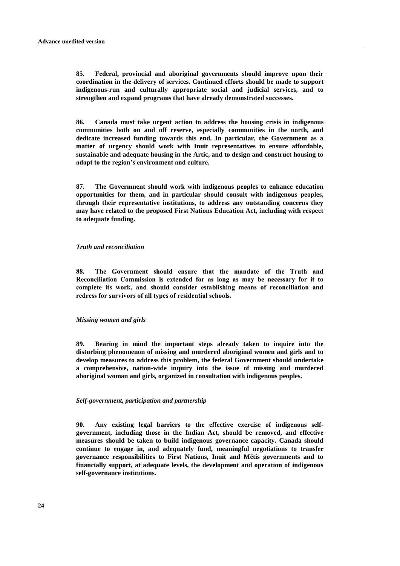**85. Federal, provincial and aboriginal governments should improve upon their coordination in the delivery of services. Continued efforts should be made to support indigenous-run and culturally appropriate social and judicial services, and to strengthen and expand programs that have already demonstrated successes.**

**86. Canada must take urgent action to address the housing crisis in indigenous communities both on and off reserve, especially communities in the north, and dedicate increased funding towards this end. In particular, the Government as a matter of urgency should work with Inuit representatives to ensure affordable, sustainable and adequate housing in the Artic, and to design and construct housing to adapt to the region's environment and culture.** 

**87. The Government should work with indigenous peoples to enhance education opportunities for them, and in particular should consult with indigenous peoples, through their representative institutions, to address any outstanding concerns they may have related to the proposed First Nations Education Act, including with respect to adequate funding.** 

#### *Truth and reconciliation*

**88. The Government should ensure that the mandate of the Truth and Reconciliation Commission is extended for as long as may be necessary for it to complete its work, and should consider establishing means of reconciliation and redress for survivors of all types of residential schools.**

#### *Missing women and girls*

**89. Bearing in mind the important steps already taken to inquire into the disturbing phenomenon of missing and murdered aboriginal women and girls and to develop measures to address this problem, the federal Government should undertake a comprehensive, nation-wide inquiry into the issue of missing and murdered aboriginal woman and girls, organized in consultation with indigenous peoples.** 

#### *Self-government, participation and partnership*

**90. Any existing legal barriers to the effective exercise of indigenous selfgovernment, including those in the Indian Act, should be removed, and effective measures should be taken to build indigenous governance capacity. Canada should continue to engage in, and adequately fund, meaningful negotiations to transfer governance responsibilities to First Nations, Inuit and Métis governments and to financially support, at adequate levels, the development and operation of indigenous self-governance institutions.**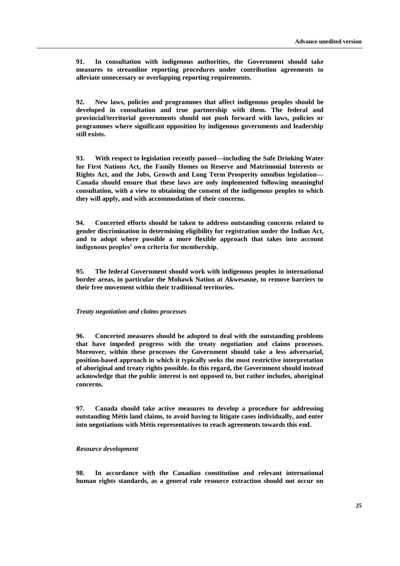**91. In consultation with indigenous authorities, the Government should take measures to streamline reporting procedures under contribution agreements to alleviate unnecessary or overlapping reporting requirements.**

**92. New laws, policies and programmes that affect indigenous peoples should be developed in consultation and true partnership with them. The federal and provincial/territorial governments should not push forward with laws, policies or programmes where significant opposition by indigenous governments and leadership still exists.**

**93. With respect to legislation recently passed—including the Safe Drinking Water for First Nations Act, the Family Homes on Reserve and Matrimonial Interests or Rights Act, and the Jobs, Growth and Long Term Prosperity omnibus legislation— Canada should ensure that these laws are only implemented following meaningful consultation, with a view to obtaining the consent of the indigenous peoples to which they will apply, and with accommodation of their concerns.**

**94. Concerted efforts should be taken to address outstanding concerns related to gender discrimination in determining eligibility for registration under the Indian Act, and to adopt where possible a more flexible approach that takes into account indigenous peoples' own criteria for membership.**

**95. The federal Government should work with indigenous peoples in international border areas, in particular the Mohawk Nation at Akwesasne, to remove barriers to their free movement within their traditional territories.**

#### *Treaty negotiation and claims processes*

**96. Concerted measures should be adopted to deal with the outstanding problems that have impeded progress with the treaty negotiation and claims processes. Moreover, within these processes the Government should take a less adversarial, position-based approach in which it typically seeks the most restrictive interpretation of aboriginal and treaty rights possible. In this regard, the Government should instead acknowledge that the public interest is not opposed to, but rather includes, aboriginal concerns.**

**97. Canada should take active measures to develop a procedure for addressing outstanding Métis land claims, to avoid having to litigate cases individually, and enter into negotiations with Métis representatives to reach agreements towards this end.**

#### *Resource development*

**98. In accordance with the Canadian constitution and relevant international human rights standards, as a general rule resource extraction should not occur on**